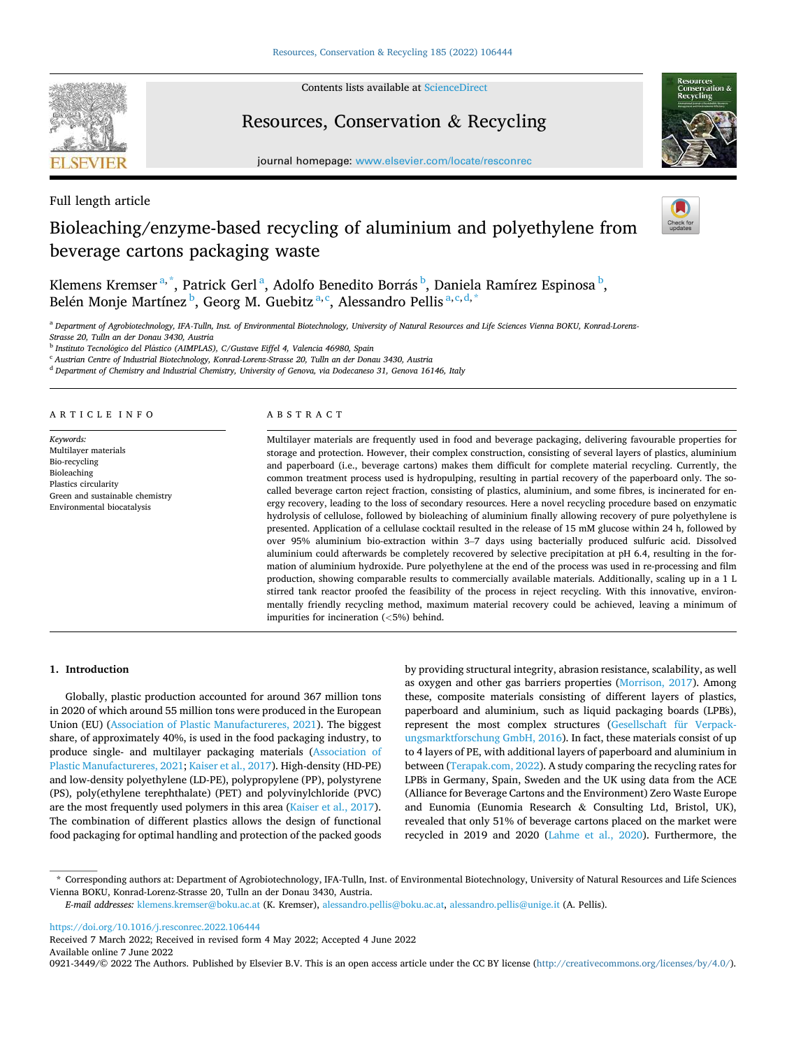

Contents lists available at [ScienceDirect](www.sciencedirect.com/science/journal/09213449)

## Resources, Conservation & Recycling

journal homepage: [www.elsevier.com/locate/resconrec](https://www.elsevier.com/locate/resconrec) 



Full length article

# Bioleaching/enzyme-based recycling of aluminium and polyethylene from beverage cartons packaging waste



Klemens Kremser<sup>a,\*</sup>, Patrick Gerl<sup>a</sup>, Adolfo Benedito Borrás<sup>b</sup>, Daniela Ramírez Espinosa<sup>b</sup>, Belén Monje Martínez  $^{\rm b}$ , Georg M. Guebitz  $^{\rm a,c}$ , Alessandro Pellis  $^{\rm a,c,d,*}$ 

a Department of Agrobiotechnology, IFA-Tulln, Inst. of Environmental Biotechnology, University of Natural Resources and Life Sciences Vienna BOKU, Konrad-Lorenz-*Strasse 20, Tulln an der Donau 3430, Austria* 

<sup>b</sup> Instituto Tecnológico del Plástico (AIMPLAS), C/Gustave Eiffel 4, Valencia 46980, Spain

<sup>c</sup> *Austrian Centre of Industrial Biotechnology, Konrad-Lorenz-Strasse 20, Tulln an der Donau 3430, Austria* 

<sup>d</sup> *Department of Chemistry and Industrial Chemistry, University of Genova, via Dodecaneso 31, Genova 16146, Italy* 

#### ARTICLE INFO

*Keywords:*  Multilayer materials Bio-recycling Bioleaching Plastics circularity Green and sustainable chemistry Environmental biocatalysis

#### ABSTRACT

Multilayer materials are frequently used in food and beverage packaging, delivering favourable properties for storage and protection. However, their complex construction, consisting of several layers of plastics, aluminium and paperboard (i.e., beverage cartons) makes them difficult for complete material recycling. Currently, the common treatment process used is hydropulping, resulting in partial recovery of the paperboard only. The socalled beverage carton reject fraction, consisting of plastics, aluminium, and some fibres, is incinerated for energy recovery, leading to the loss of secondary resources. Here a novel recycling procedure based on enzymatic hydrolysis of cellulose, followed by bioleaching of aluminium finally allowing recovery of pure polyethylene is presented. Application of a cellulase cocktail resulted in the release of 15 mM glucose within 24 h, followed by over 95% aluminium bio-extraction within 3–7 days using bacterially produced sulfuric acid. Dissolved aluminium could afterwards be completely recovered by selective precipitation at pH 6.4, resulting in the formation of aluminium hydroxide. Pure polyethylene at the end of the process was used in re-processing and film production, showing comparable results to commercially available materials. Additionally, scaling up in a 1 L stirred tank reactor proofed the feasibility of the process in reject recycling. With this innovative, environmentally friendly recycling method, maximum material recovery could be achieved, leaving a minimum of impurities for incineration (*<*5%) behind.

## **1. Introduction**

Globally, plastic production accounted for around 367 million tons in 2020 of which around 55 million tons were produced in the European Union (EU) ([Association of Plastic Manufactureres, 2021\)](#page-7-0). The biggest share, of approximately 40%, is used in the food packaging industry, to produce single- and multilayer packaging materials [\(Association of](#page-7-0)  [Plastic Manufactureres, 2021](#page-7-0); [Kaiser et al., 2017\)](#page-8-0). High-density (HD-PE) and low-density polyethylene (LD-PE), polypropylene (PP), polystyrene (PS), poly(ethylene terephthalate) (PET) and polyvinylchloride (PVC) are the most frequently used polymers in this area ([Kaiser et al., 2017](#page-8-0)). The combination of different plastics allows the design of functional food packaging for optimal handling and protection of the packed goods by providing structural integrity, abrasion resistance, scalability, as well as oxygen and other gas barriers properties [\(Morrison, 2017](#page-8-0)). Among these, composite materials consisting of different layers of plastics, paperboard and aluminium, such as liquid packaging boards (LPB´s), represent the most complex structures ([Gesellschaft für Verpack](#page-8-0)[ungsmarktforschung GmbH, 2016](#page-8-0)). In fact, these materials consist of up to 4 layers of PE, with additional layers of paperboard and aluminium in between ([Terapak.com, 2022](#page-8-0)). A study comparing the recycling rates for LPB´s in Germany, Spain, Sweden and the UK using data from the ACE (Alliance for Beverage Cartons and the Environment) Zero Waste Europe and Eunomia (Eunomia Research & Consulting Ltd, Bristol, UK), revealed that only 51% of beverage cartons placed on the market were recycled in 2019 and 2020 [\(Lahme et al., 2020](#page-8-0)). Furthermore, the

<https://doi.org/10.1016/j.resconrec.2022.106444>

Available online 7 June 2022

<sup>\*</sup> Corresponding authors at: Department of Agrobiotechnology, IFA-Tulln, Inst. of Environmental Biotechnology, University of Natural Resources and Life Sciences Vienna BOKU, Konrad-Lorenz-Strasse 20, Tulln an der Donau 3430, Austria.

*E-mail addresses:* [klemens.kremser@boku.ac.at](mailto:klemens.kremser@boku.ac.at) (K. Kremser), [alessandro.pellis@boku.ac.at](mailto:alessandro.pellis@boku.ac.at), [alessandro.pellis@unige.it](mailto:alessandro.pellis@unige.it) (A. Pellis).

Received 7 March 2022; Received in revised form 4 May 2022; Accepted 4 June 2022

<sup>0921-3449/© 2022</sup> The Authors. Published by Elsevier B.V. This is an open access article under the CC BY license [\(http://creativecommons.org/licenses/by/4.0/\)](http://creativecommons.org/licenses/by/4.0/).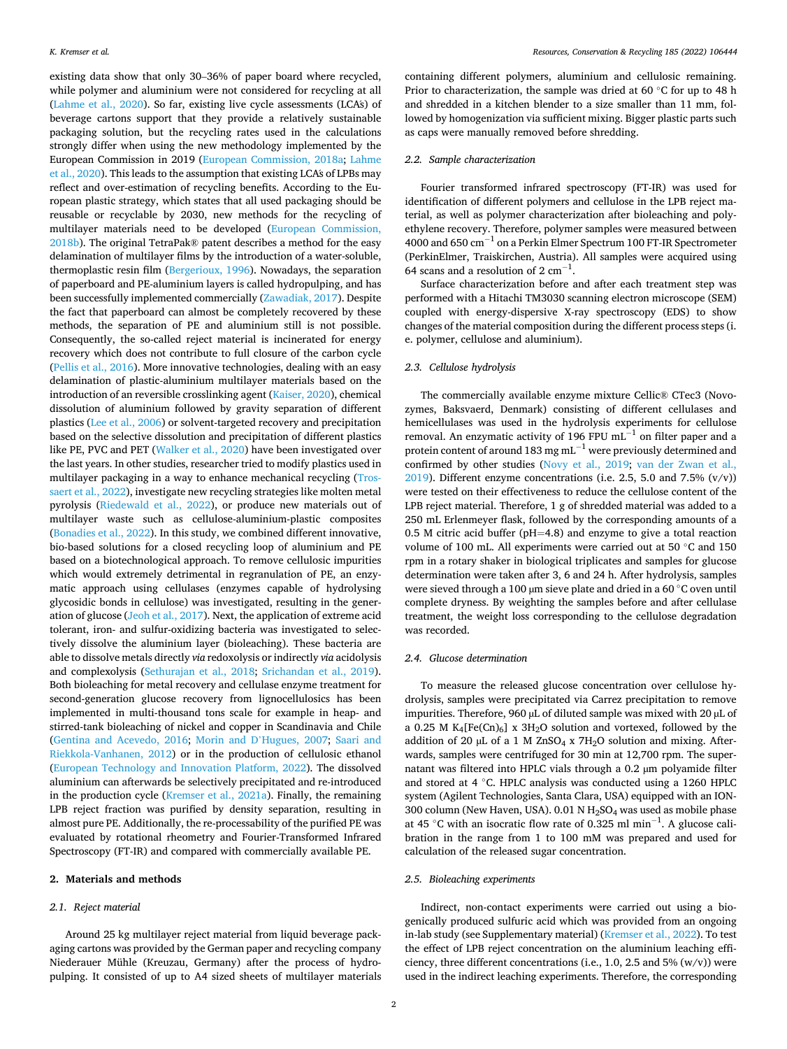existing data show that only 30–36% of paper board where recycled, while polymer and aluminium were not considered for recycling at all ([Lahme et al., 2020\)](#page-8-0). So far, existing live cycle assessments (LCA´s) of beverage cartons support that they provide a relatively sustainable packaging solution, but the recycling rates used in the calculations strongly differ when using the new methodology implemented by the European Commission in 2019 ([European Commission, 2018a](#page-8-0); [Lahme](#page-8-0)  [et al., 2020](#page-8-0)). This leads to the assumption that existing LCA´s of LPBs may reflect and over-estimation of recycling benefits. According to the European plastic strategy, which states that all used packaging should be reusable or recyclable by 2030, new methods for the recycling of multilayer materials need to be developed [\(European Commission,](#page-8-0)  [2018b\)](#page-8-0). The original TetraPak® patent describes a method for the easy delamination of multilayer films by the introduction of a water-soluble, thermoplastic resin film [\(Bergerioux, 1996](#page-7-0)). Nowadays, the separation of paperboard and PE-aluminium layers is called hydropulping, and has been successfully implemented commercially ([Zawadiak, 2017\)](#page-9-0). Despite the fact that paperboard can almost be completely recovered by these methods, the separation of PE and aluminium still is not possible. Consequently, the so-called reject material is incinerated for energy recovery which does not contribute to full closure of the carbon cycle ([Pellis et al., 2016](#page-8-0)). More innovative technologies, dealing with an easy delamination of plastic-aluminium multilayer materials based on the introduction of an reversible crosslinking agent [\(Kaiser, 2020](#page-8-0)), chemical dissolution of aluminium followed by gravity separation of different plastics ([Lee et al., 2006](#page-8-0)) or solvent-targeted recovery and precipitation based on the selective dissolution and precipitation of different plastics like PE, PVC and PET [\(Walker et al., 2020](#page-8-0)) have been investigated over the last years. In other studies, researcher tried to modify plastics used in multilayer packaging in a way to enhance mechanical recycling ([Tros](#page-8-0)[saert et al., 2022](#page-8-0)), investigate new recycling strategies like molten metal pyrolysis ([Riedewald et al., 2022](#page-8-0)), or produce new materials out of multilayer waste such as cellulose-aluminium-plastic composites ([Bonadies et al., 2022\)](#page-7-0). In this study, we combined different innovative, bio-based solutions for a closed recycling loop of aluminium and PE based on a biotechnological approach. To remove cellulosic impurities which would extremely detrimental in regranulation of PE, an enzymatic approach using cellulases (enzymes capable of hydrolysing glycosidic bonds in cellulose) was investigated, resulting in the generation of glucose ([Jeoh et al., 2017](#page-8-0)). Next, the application of extreme acid tolerant, iron- and sulfur-oxidizing bacteria was investigated to selectively dissolve the aluminium layer (bioleaching). These bacteria are able to dissolve metals directly *via* redoxolysis or indirectly *via* acidolysis and complexolysis ([Sethurajan et al., 2018;](#page-8-0) [Srichandan et al., 2019](#page-8-0)). Both bioleaching for metal recovery and cellulase enzyme treatment for second-generation glucose recovery from lignocellulosics has been implemented in multi-thousand tons scale for example in heap- and stirred-tank bioleaching of nickel and copper in Scandinavia and Chile ([Gentina and Acevedo, 2016](#page-8-0); Morin and D'[Hugues, 2007](#page-8-0); [Saari and](#page-8-0)  [Riekkola-Vanhanen, 2012](#page-8-0)) or in the production of cellulosic ethanol ([European Technology and Innovation Platform, 2022\)](#page-8-0). The dissolved aluminium can afterwards be selectively precipitated and re-introduced in the production cycle ([Kremser et al., 2021a](#page-8-0)). Finally, the remaining LPB reject fraction was purified by density separation, resulting in almost pure PE. Additionally, the re-processability of the purified PE was evaluated by rotational rheometry and Fourier-Transformed Infrared Spectroscopy (FT-IR) and compared with commercially available PE.

#### **2. Materials and methods**

## *2.1. Reject material*

Around 25 kg multilayer reject material from liquid beverage packaging cartons was provided by the German paper and recycling company Niederauer Mühle (Kreuzau, Germany) after the process of hydropulping. It consisted of up to A4 sized sheets of multilayer materials containing different polymers, aluminium and cellulosic remaining. Prior to characterization, the sample was dried at 60 ℃ for up to 48 h and shredded in a kitchen blender to a size smaller than 11 mm, followed by homogenization via sufficient mixing. Bigger plastic parts such as caps were manually removed before shredding.

#### *2.2. Sample characterization*

Fourier transformed infrared spectroscopy (FT-IR) was used for identification of different polymers and cellulose in the LPB reject material, as well as polymer characterization after bioleaching and polyethylene recovery. Therefore, polymer samples were measured between 4000 and 650 cm<sup>-1</sup> on a Perkin Elmer Spectrum 100 FT-IR Spectrometer (PerkinElmer, Traiskirchen, Austria). All samples were acquired using 64 scans and a resolution of 2  $\text{cm}^{-1}$ .

Surface characterization before and after each treatment step was performed with a Hitachi TM3030 scanning electron microscope (SEM) coupled with energy-dispersive X-ray spectroscopy (EDS) to show changes of the material composition during the different process steps (i. e. polymer, cellulose and aluminium).

## *2.3. Cellulose hydrolysis*

The commercially available enzyme mixture Cellic® CTec3 (Novozymes, Baksvaerd, Denmark) consisting of different cellulases and hemicellulases was used in the hydrolysis experiments for cellulose removal. An enzymatic activity of 196 FPU mL<sup> $-1$ </sup> on filter paper and a protein content of around 183 mg mL<sup> $-1$ </sup> were previously determined and confirmed by other studies ([Novy et al., 2019](#page-8-0); [van der Zwan et al.,](#page-8-0)   $2019$ ). Different enzyme concentrations (i.e. 2.5, 5.0 and 7.5% (v/v)) were tested on their effectiveness to reduce the cellulose content of the LPB reject material. Therefore, 1 g of shredded material was added to a 250 mL Erlenmeyer flask, followed by the corresponding amounts of a 0.5 M citric acid buffer (pH=4.8) and enzyme to give a total reaction volume of 100 mL. All experiments were carried out at 50 ◦C and 150 rpm in a rotary shaker in biological triplicates and samples for glucose determination were taken after 3, 6 and 24 h. After hydrolysis, samples were sieved through a 100 µm sieve plate and dried in a 60 °C oven until complete dryness. By weighting the samples before and after cellulase treatment, the weight loss corresponding to the cellulose degradation was recorded.

#### *2.4. Glucose determination*

To measure the released glucose concentration over cellulose hydrolysis, samples were precipitated via Carrez precipitation to remove impurities. Therefore, 960 µL of diluted sample was mixed with 20 µL of a 0.25 M K<sub>4</sub>[Fe(Cn)<sub>6</sub>] x 3H<sub>2</sub>O solution and vortexed, followed by the addition of 20  $\mu$ L of a 1 M ZnSO<sub>4</sub> x 7H<sub>2</sub>O solution and mixing. Afterwards, samples were centrifuged for 30 min at 12,700 rpm. The supernatant was filtered into HPLC vials through a 0.2 µm polyamide filter and stored at 4 ◦C. HPLC analysis was conducted using a 1260 HPLC system (Agilent Technologies, Santa Clara, USA) equipped with an ION-300 column (New Haven, USA). 0.01 N  $H<sub>2</sub>SO<sub>4</sub>$  was used as mobile phase at 45 °C with an isocratic flow rate of 0.325 ml min<sup>-1</sup>. A glucose calibration in the range from 1 to 100 mM was prepared and used for calculation of the released sugar concentration.

#### *2.5. Bioleaching experiments*

Indirect, non-contact experiments were carried out using a biogenically produced sulfuric acid which was provided from an ongoing in-lab study (see Supplementary material) [\(Kremser et al., 2022](#page-8-0)). To test the effect of LPB reject concentration on the aluminium leaching efficiency, three different concentrations (i.e., 1.0, 2.5 and 5%  $(w/v)$ ) were used in the indirect leaching experiments. Therefore, the corresponding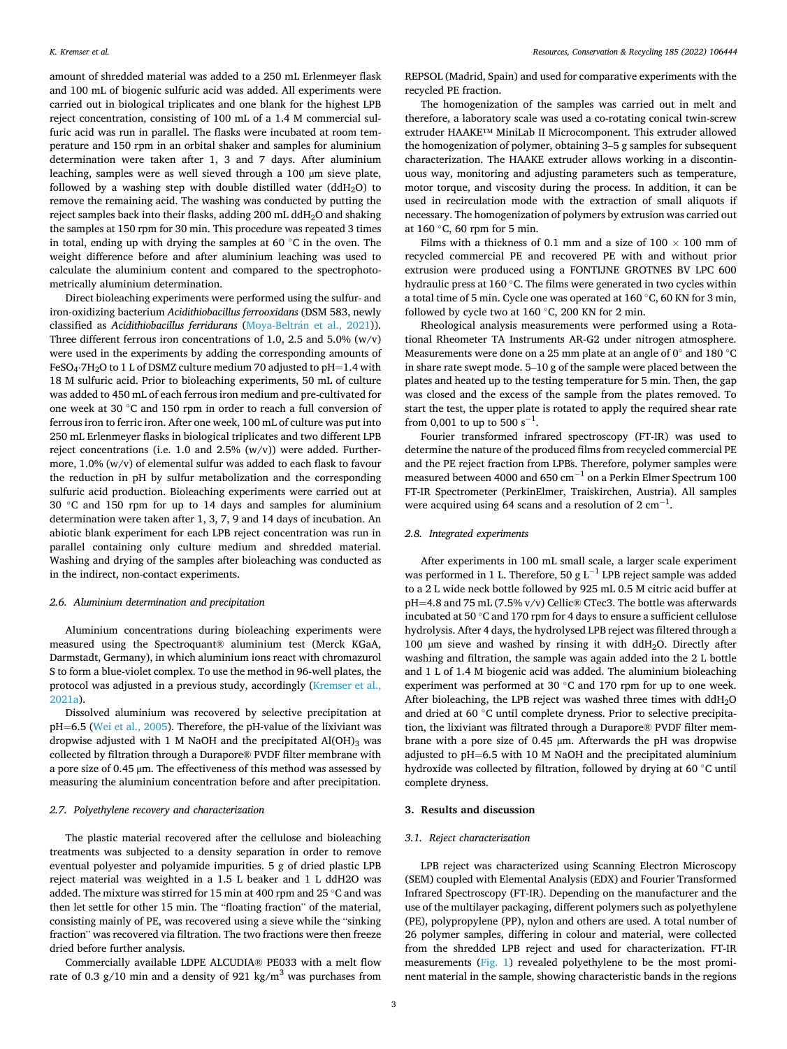amount of shredded material was added to a 250 mL Erlenmeyer flask and 100 mL of biogenic sulfuric acid was added. All experiments were carried out in biological triplicates and one blank for the highest LPB reject concentration, consisting of 100 mL of a 1.4 M commercial sulfuric acid was run in parallel. The flasks were incubated at room temperature and 150 rpm in an orbital shaker and samples for aluminium determination were taken after 1, 3 and 7 days. After aluminium leaching, samples were as well sieved through a 100 µm sieve plate, followed by a washing step with double distilled water (ddH<sub>2</sub>O) to remove the remaining acid. The washing was conducted by putting the reject samples back into their flasks, adding 200 mL ddH<sub>2</sub>O and shaking the samples at 150 rpm for 30 min. This procedure was repeated 3 times in total, ending up with drying the samples at 60 ◦C in the oven. The weight difference before and after aluminium leaching was used to calculate the aluminium content and compared to the spectrophotometrically aluminium determination.

Direct bioleaching experiments were performed using the sulfur- and iron-oxidizing bacterium *Acidithiobacillus ferrooxidans* (DSM 583, newly classified as *Acidithiobacillus ferridurans* (Moya-Beltrán et al., 2021)). Three different ferrous iron concentrations of 1.0, 2.5 and 5.0%  $(w/v)$ were used in the experiments by adding the corresponding amounts of FeSO<sub>4</sub>⋅7H<sub>2</sub>O to 1 L of DSMZ culture medium 70 adjusted to pH=1.4 with 18 M sulfuric acid. Prior to bioleaching experiments, 50 mL of culture was added to 450 mL of each ferrous iron medium and pre-cultivated for one week at 30 ◦C and 150 rpm in order to reach a full conversion of ferrous iron to ferric iron. After one week, 100 mL of culture was put into 250 mL Erlenmeyer flasks in biological triplicates and two different LPB reject concentrations (i.e. 1.0 and 2.5%  $(w/v)$ ) were added. Furthermore, 1.0% (w/v) of elemental sulfur was added to each flask to favour the reduction in pH by sulfur metabolization and the corresponding sulfuric acid production. Bioleaching experiments were carried out at 30 ◦C and 150 rpm for up to 14 days and samples for aluminium determination were taken after 1, 3, 7, 9 and 14 days of incubation. An abiotic blank experiment for each LPB reject concentration was run in parallel containing only culture medium and shredded material. Washing and drying of the samples after bioleaching was conducted as in the indirect, non-contact experiments.

#### *2.6. Aluminium determination and precipitation*

Aluminium concentrations during bioleaching experiments were measured using the Spectroquant® aluminium test (Merck KGaA, Darmstadt, Germany), in which aluminium ions react with chromazurol S to form a blue-violet complex. To use the method in 96-well plates, the protocol was adjusted in a previous study, accordingly [\(Kremser et al.,](#page-8-0)  [2021a\)](#page-8-0).

Dissolved aluminium was recovered by selective precipitation at pH=6.5 ([Wei et al., 2005\)](#page-8-0). Therefore, the pH-value of the lixiviant was dropwise adjusted with 1 M NaOH and the precipitated  $Al(OH)_{3}$  was collected by filtration through a Durapore® PVDF filter membrane with a pore size of 0.45 µm. The effectiveness of this method was assessed by measuring the aluminium concentration before and after precipitation.

#### *2.7. Polyethylene recovery and characterization*

The plastic material recovered after the cellulose and bioleaching treatments was subjected to a density separation in order to remove eventual polyester and polyamide impurities. 5 g of dried plastic LPB reject material was weighted in a 1.5 L beaker and 1 L ddH2O was added. The mixture was stirred for 15 min at 400 rpm and 25 ◦C and was then let settle for other 15 min. The "floating fraction" of the material, consisting mainly of PE, was recovered using a sieve while the "sinking fraction" was recovered via filtration. The two fractions were then freeze dried before further analysis.

Commercially available LDPE ALCUDIA® PE033 with a melt flow rate of 0.3 g/10 min and a density of 921 kg/m<sup>3</sup> was purchases from

REPSOL (Madrid, Spain) and used for comparative experiments with the recycled PE fraction.

The homogenization of the samples was carried out in melt and therefore, a laboratory scale was used a co-rotating conical twin-screw extruder HAAKE™ MiniLab II Microcomponent. This extruder allowed the homogenization of polymer, obtaining 3–5 g samples for subsequent characterization. The HAAKE extruder allows working in a discontinuous way, monitoring and adjusting parameters such as temperature, motor torque, and viscosity during the process. In addition, it can be used in recirculation mode with the extraction of small aliquots if necessary. The homogenization of polymers by extrusion was carried out at 160 ◦C, 60 rpm for 5 min.

Films with a thickness of 0.1 mm and a size of  $100 \times 100$  mm of recycled commercial PE and recovered PE with and without prior extrusion were produced using a FONTIJNE GROTNES BV LPC 600 hydraulic press at 160 ◦C. The films were generated in two cycles within a total time of 5 min. Cycle one was operated at 160 ◦C, 60 KN for 3 min, followed by cycle two at 160 ◦C, 200 KN for 2 min.

Rheological analysis measurements were performed using a Rotational Rheometer TA Instruments AR-G2 under nitrogen atmosphere. Measurements were done on a 25 mm plate at an angle of 0◦ and 180 ◦C in share rate swept mode. 5–10 g of the sample were placed between the plates and heated up to the testing temperature for 5 min. Then, the gap was closed and the excess of the sample from the plates removed. To start the test, the upper plate is rotated to apply the required shear rate from 0,001 to up to 500  $s^{-1}$ .

Fourier transformed infrared spectroscopy (FT-IR) was used to determine the nature of the produced films from recycled commercial PE and the PE reject fraction from LPB´s. Therefore, polymer samples were measured between 4000 and 650  $\text{cm}^{-1}$  on a Perkin Elmer Spectrum 100 FT-IR Spectrometer (PerkinElmer, Traiskirchen, Austria). All samples were acquired using 64 scans and a resolution of  $2 \text{ cm}^{-1}$ .

## *2.8. Integrated experiments*

After experiments in 100 mL small scale, a larger scale experiment was performed in 1 L. Therefore, 50 g L<sup>-1</sup> LPB reject sample was added to a 2 L wide neck bottle followed by 925 mL 0.5 M citric acid buffer at pH=4.8 and 75 mL (7.5% v/v) Cellic® CTec3. The bottle was afterwards incubated at 50 ◦C and 170 rpm for 4 days to ensure a sufficient cellulose hydrolysis. After 4 days, the hydrolysed LPB reject was filtered through a 100 µm sieve and washed by rinsing it with ddH2O. Directly after washing and filtration, the sample was again added into the 2 L bottle and 1 L of 1.4 M biogenic acid was added. The aluminium bioleaching experiment was performed at 30 ◦C and 170 rpm for up to one week. After bioleaching, the LPB reject was washed three times with  $ddH<sub>2</sub>O$ and dried at 60 ◦C until complete dryness. Prior to selective precipitation, the lixiviant was filtrated through a Durapore® PVDF filter membrane with a pore size of 0.45 µm. Afterwards the pH was dropwise adjusted to pH=6.5 with 10 M NaOH and the precipitated aluminium hydroxide was collected by filtration, followed by drying at 60 ◦C until complete dryness.

#### **3. Results and discussion**

## *3.1. Reject characterization*

LPB reject was characterized using Scanning Electron Microscopy (SEM) coupled with Elemental Analysis (EDX) and Fourier Transformed Infrared Spectroscopy (FT-IR). Depending on the manufacturer and the use of the multilayer packaging, different polymers such as polyethylene (PE), polypropylene (PP), nylon and others are used. A total number of 26 polymer samples, differing in colour and material, were collected from the shredded LPB reject and used for characterization. FT-IR measurements ([Fig. 1](#page-3-0)) revealed polyethylene to be the most prominent material in the sample, showing characteristic bands in the regions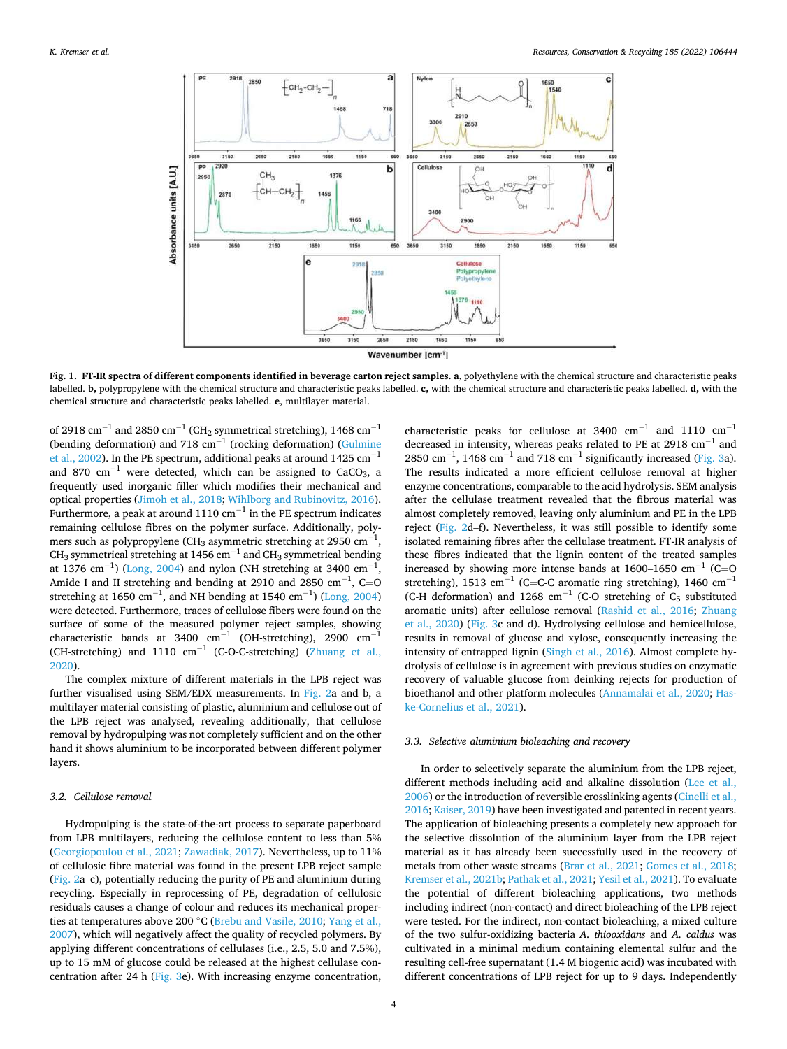<span id="page-3-0"></span>

**Fig. 1. FT-IR spectra of different components identified in beverage carton reject samples. a**, polyethylene with the chemical structure and characteristic peaks labelled. **b,** polypropylene with the chemical structure and characteristic peaks labelled. **c,** with the chemical structure and characteristic peaks labelled. **d,** with the chemical structure and characteristic peaks labelled. **e**, multilayer material.

of 2918  $\text{cm}^{-1}$  and 2850  $\text{cm}^{-1}$  (CH<sub>2</sub> symmetrical stretching), 1468  $\text{cm}^{-1}$ (bending deformation) and 718  $cm^{-1}$  (rocking deformation) (Gulmine [et al., 2002](#page-8-0)). In the PE spectrum, additional peaks at around 1425 cm<sup>-1</sup> and 870 cm<sup>-1</sup> were detected, which can be assigned to CaCO<sub>3</sub>, a frequently used inorganic filler which modifies their mechanical and optical properties [\(Jimoh et al., 2018](#page-8-0); [Wihlborg and Rubinovitz, 2016](#page-8-0)). Furthermore, a peak at around  $1110 \text{ cm}^{-1}$  in the PE spectrum indicates remaining cellulose fibres on the polymer surface. Additionally, polymers such as polypropylene (CH<sub>3</sub> asymmetric stretching at 2950  $\mathrm{cm}^{-1}$ , CH<sub>3</sub> symmetrical stretching at 1456 cm<sup>-1</sup> and CH<sub>3</sub> symmetrical bending at 1376 cm<sup>-1</sup>) ([Long, 2004](#page-8-0)) and nylon (NH stretching at 3400 cm<sup>-1</sup>, Amide I and II stretching and bending at 2910 and 2850  $\text{cm}^{-1}$ , C=O stretching at 1650 cm<sup>-1</sup>, and NH bending at 1540 cm<sup>-1</sup>) ([Long, 2004\)](#page-8-0) were detected. Furthermore, traces of cellulose fibers were found on the surface of some of the measured polymer reject samples, showing characteristic bands at 3400  $cm^{-1}$  (OH-stretching), 2900  $cm^{-}$ (CH-stretching) and 1110  $cm^{-1}$  (C-O-C-stretching) (Zhuang et al., [2020\)](#page-9-0).

The complex mixture of different materials in the LPB reject was further visualised using SEM/EDX measurements. In [Fig. 2](#page-4-0)a and b, a multilayer material consisting of plastic, aluminium and cellulose out of the LPB reject was analysed, revealing additionally, that cellulose removal by hydropulping was not completely sufficient and on the other hand it shows aluminium to be incorporated between different polymer layers.

#### *3.2. Cellulose removal*

Hydropulping is the state-of-the-art process to separate paperboard from LPB multilayers, reducing the cellulose content to less than 5% ([Georgiopoulou et al., 2021](#page-8-0); [Zawadiak, 2017\)](#page-9-0). Nevertheless, up to 11% of cellulosic fibre material was found in the present LPB reject sample ([Fig. 2](#page-4-0)a–c), potentially reducing the purity of PE and aluminium during recycling. Especially in reprocessing of PE, degradation of cellulosic residuals causes a change of colour and reduces its mechanical properties at temperatures above 200 ◦C [\(Brebu and Vasile, 2010](#page-8-0); [Yang et al.,](#page-8-0)  [2007\)](#page-8-0), which will negatively affect the quality of recycled polymers. By applying different concentrations of cellulases (i.e., 2.5, 5.0 and 7.5%), up to 15 mM of glucose could be released at the highest cellulase concentration after 24 h [\(Fig. 3e](#page-5-0)). With increasing enzyme concentration,

characteristic peaks for cellulose at 3400  $cm^{-1}$  and 1110  $cm^{-1}$ decreased in intensity, whereas peaks related to PE at 2918  $cm^{-1}$  and 2850 cm<sup>-1</sup>, 1468 cm<sup>-1</sup> and 718 cm<sup>-1</sup> significantly increased [\(Fig. 3](#page-5-0)a). The results indicated a more efficient cellulose removal at higher enzyme concentrations, comparable to the acid hydrolysis. SEM analysis after the cellulase treatment revealed that the fibrous material was almost completely removed, leaving only aluminium and PE in the LPB reject ([Fig. 2d](#page-4-0)–f). Nevertheless, it was still possible to identify some isolated remaining fibres after the cellulase treatment. FT-IR analysis of these fibres indicated that the lignin content of the treated samples increased by showing more intense bands at 1600–1650  $cm^{-1}$  (C=O stretching), 1513 cm<sup>-1</sup> (C=C-C aromatic ring stretching), 1460 cm<sup>-1</sup> (C-H deformation) and 1268 cm<sup>-1</sup> (C-O stretching of  $C_5$  substituted aromatic units) after cellulose removal [\(Rashid et al., 2016](#page-8-0); [Zhuang](#page-9-0)  [et al., 2020\)](#page-9-0) [\(Fig. 3c](#page-5-0) and d). Hydrolysing cellulose and hemicellulose, results in removal of glucose and xylose, consequently increasing the intensity of entrapped lignin [\(Singh et al., 2016](#page-8-0)). Almost complete hydrolysis of cellulose is in agreement with previous studies on enzymatic recovery of valuable glucose from deinking rejects for production of bioethanol and other platform molecules [\(Annamalai et al., 2020](#page-7-0); [Has](#page-8-0)[ke-Cornelius et al., 2021](#page-8-0)).

#### *3.3. Selective aluminium bioleaching and recovery*

In order to selectively separate the aluminium from the LPB reject, different methods including acid and alkaline dissolution [\(Lee et al.,](#page-8-0)  [2006\)](#page-8-0) or the introduction of reversible crosslinking agents ([Cinelli et al.,](#page-8-0)  [2016; Kaiser, 2019\)](#page-8-0) have been investigated and patented in recent years. The application of bioleaching presents a completely new approach for the selective dissolution of the aluminium layer from the LPB reject material as it has already been successfully used in the recovery of metals from other waste streams ([Brar et al., 2021; Gomes et al., 2018](#page-8-0); [Kremser et al., 2021b; Pathak et al., 2021](#page-8-0); [Yesil et al., 2021](#page-9-0)). To evaluate the potential of different bioleaching applications, two methods including indirect (non-contact) and direct bioleaching of the LPB reject were tested. For the indirect, non-contact bioleaching, a mixed culture of the two sulfur-oxidizing bacteria *A. thiooxidans* and *A. caldus* was cultivated in a minimal medium containing elemental sulfur and the resulting cell-free supernatant (1.4 M biogenic acid) was incubated with different concentrations of LPB reject for up to 9 days. Independently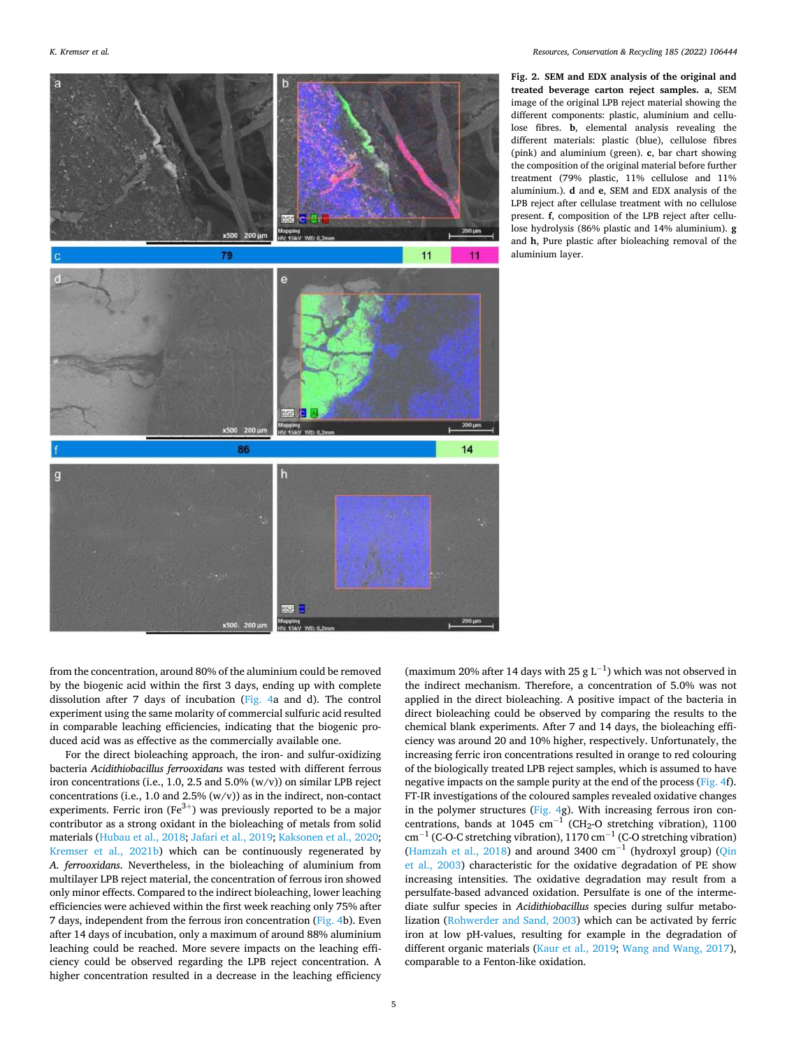<span id="page-4-0"></span>

**Fig. 2. SEM and EDX analysis of the original and treated beverage carton reject samples. a**, SEM image of the original LPB reject material showing the different components: plastic, aluminium and cellulose fibres. **b**, elemental analysis revealing the different materials: plastic (blue), cellulose fibres (pink) and aluminium (green). **c**, bar chart showing the composition of the original material before further treatment (79% plastic, 11% cellulose and 11% aluminium.). **d** and **e**, SEM and EDX analysis of the LPB reject after cellulase treatment with no cellulose present. **f**, composition of the LPB reject after cellulose hydrolysis (86% plastic and 14% aluminium). **g**  and **h**, Pure plastic after bioleaching removal of the aluminium layer.

from the concentration, around 80% of the aluminium could be removed by the biogenic acid within the first 3 days, ending up with complete dissolution after 7 days of incubation [\(Fig. 4a](#page-6-0) and d). The control experiment using the same molarity of commercial sulfuric acid resulted in comparable leaching efficiencies, indicating that the biogenic produced acid was as effective as the commercially available one.

For the direct bioleaching approach, the iron- and sulfur-oxidizing bacteria *Acidithiobacillus ferrooxidans* was tested with different ferrous iron concentrations (i.e., 1.0, 2.5 and 5.0%  $(w/v)$ ) on similar LPB reject concentrations (i.e., 1.0 and 2.5%  $(w/v)$ ) as in the indirect, non-contact experiments. Ferric iron ( $Fe^{3+}$ ) was previously reported to be a major contributor as a strong oxidant in the bioleaching of metals from solid materials [\(Hubau et al., 2018](#page-8-0); [Jafari et al., 2019; Kaksonen et al., 2020](#page-8-0); [Kremser et al., 2021b](#page-8-0)) which can be continuously regenerated by *A. ferrooxidans*. Nevertheless, in the bioleaching of aluminium from multilayer LPB reject material, the concentration of ferrous iron showed only minor effects. Compared to the indirect bioleaching, lower leaching efficiencies were achieved within the first week reaching only 75% after 7 days, independent from the ferrous iron concentration ([Fig. 4b](#page-6-0)). Even after 14 days of incubation, only a maximum of around 88% aluminium leaching could be reached. More severe impacts on the leaching efficiency could be observed regarding the LPB reject concentration. A higher concentration resulted in a decrease in the leaching efficiency

(maximum 20% after 14 days with 25 g L<sup>-1</sup>) which was not observed in the indirect mechanism. Therefore, a concentration of 5.0% was not applied in the direct bioleaching. A positive impact of the bacteria in direct bioleaching could be observed by comparing the results to the chemical blank experiments. After 7 and 14 days, the bioleaching efficiency was around 20 and 10% higher, respectively. Unfortunately, the increasing ferric iron concentrations resulted in orange to red colouring of the biologically treated LPB reject samples, which is assumed to have negative impacts on the sample purity at the end of the process [\(Fig. 4f](#page-6-0)). FT-IR investigations of the coloured samples revealed oxidative changes in the polymer structures [\(Fig. 4](#page-6-0)g). With increasing ferrous iron concentrations, bands at 1045 cm<sup>-1</sup> (CH<sub>2</sub>-O stretching vibration), 1100  $\text{cm}^{-1}$  (C-O-C stretching vibration), 1170  $\text{cm}^{-1}$  (C-O stretching vibration) ([Hamzah et al., 2018\)](#page-8-0) and around 3400  $\text{cm}^{-1}$  (hydroxyl group) (Qin [et al., 2003\)](#page-8-0) characteristic for the oxidative degradation of PE show increasing intensities. The oxidative degradation may result from a persulfate-based advanced oxidation. Persulfate is one of the intermediate sulfur species in *Acidithiobacillus* species during sulfur metabolization ([Rohwerder and Sand, 2003](#page-8-0)) which can be activated by ferric iron at low pH-values, resulting for example in the degradation of different organic materials [\(Kaur et al., 2019](#page-8-0); [Wang and Wang, 2017](#page-8-0)), comparable to a Fenton-like oxidation.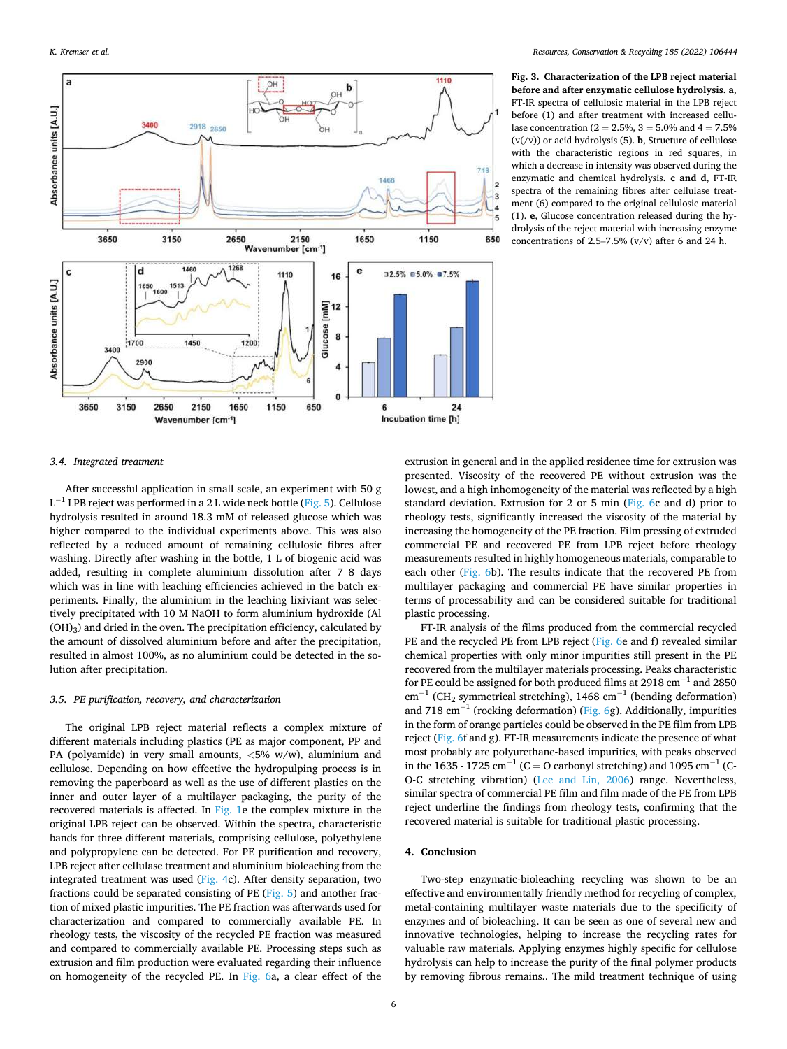<span id="page-5-0"></span>

**Fig. 3. Characterization of the LPB reject material before and after enzymatic cellulose hydrolysis. a**, FT-IR spectra of cellulosic material in the LPB reject before (1) and after treatment with increased cellulase concentration ( $2 = 2.5\%$ ,  $3 = 5.0\%$  and  $4 = 7.5\%$  $(v(y))$  or acid hydrolysis (5). **b**, Structure of cellulose with the characteristic regions in red squares, in which a decrease in intensity was observed during the enzymatic and chemical hydrolysis**. c and d**, FT-IR spectra of the remaining fibres after cellulase treatment (6) compared to the original cellulosic material (1). **e**, Glucose concentration released during the hydrolysis of the reject material with increasing enzyme concentrations of 2.5–7.5%  $(v/v)$  after 6 and 24 h.

## *3.4. Integrated treatment*

After successful application in small scale, an experiment with 50 g  $L^{-1}$  LPB reject was performed in a 2 L wide neck bottle [\(Fig. 5\)](#page-6-0). Cellulose hydrolysis resulted in around 18.3 mM of released glucose which was higher compared to the individual experiments above. This was also reflected by a reduced amount of remaining cellulosic fibres after washing. Directly after washing in the bottle, 1 L of biogenic acid was added, resulting in complete aluminium dissolution after 7–8 days which was in line with leaching efficiencies achieved in the batch experiments. Finally, the aluminium in the leaching lixiviant was selectively precipitated with 10 M NaOH to form aluminium hydroxide (Al  $(OH)<sub>3</sub>$ ) and dried in the oven. The precipitation efficiency, calculated by the amount of dissolved aluminium before and after the precipitation, resulted in almost 100%, as no aluminium could be detected in the solution after precipitation.

#### *3.5. PE purification, recovery, and characterization*

The original LPB reject material reflects a complex mixture of different materials including plastics (PE as major component, PP and PA (polyamide) in very small amounts, *<*5% w/w), aluminium and cellulose. Depending on how effective the hydropulping process is in removing the paperboard as well as the use of different plastics on the inner and outer layer of a multilayer packaging, the purity of the recovered materials is affected. In [Fig. 1](#page-3-0)e the complex mixture in the original LPB reject can be observed. Within the spectra, characteristic bands for three different materials, comprising cellulose, polyethylene and polypropylene can be detected. For PE purification and recovery, LPB reject after cellulase treatment and aluminium bioleaching from the integrated treatment was used [\(Fig. 4c](#page-6-0)). After density separation, two fractions could be separated consisting of PE ([Fig. 5\)](#page-6-0) and another fraction of mixed plastic impurities. The PE fraction was afterwards used for characterization and compared to commercially available PE. In rheology tests, the viscosity of the recycled PE fraction was measured and compared to commercially available PE. Processing steps such as extrusion and film production were evaluated regarding their influence on homogeneity of the recycled PE. In [Fig. 6](#page-7-0)a, a clear effect of the

extrusion in general and in the applied residence time for extrusion was presented. Viscosity of the recovered PE without extrusion was the lowest, and a high inhomogeneity of the material was reflected by a high standard deviation. Extrusion for 2 or 5 min [\(Fig. 6c](#page-7-0) and d) prior to rheology tests, significantly increased the viscosity of the material by increasing the homogeneity of the PE fraction. Film pressing of extruded commercial PE and recovered PE from LPB reject before rheology measurements resulted in highly homogeneous materials, comparable to each other ([Fig. 6b](#page-7-0)). The results indicate that the recovered PE from multilayer packaging and commercial PE have similar properties in terms of processability and can be considered suitable for traditional plastic processing.

FT-IR analysis of the films produced from the commercial recycled PE and the recycled PE from LPB reject [\(Fig. 6](#page-7-0)e and f) revealed similar chemical properties with only minor impurities still present in the PE recovered from the multilayer materials processing. Peaks characteristic for PE could be assigned for both produced films at 2918  $cm^{-1}$  and 2850  $\text{cm}^{-1}$  (CH<sub>2</sub> symmetrical stretching), 1468 cm<sup>-1</sup> (bending deformation) and 718 cm<sup>-1</sup> (rocking deformation) ([Fig. 6g](#page-7-0)). Additionally, impurities in the form of orange particles could be observed in the PE film from LPB reject [\(Fig. 6f](#page-7-0) and g). FT-IR measurements indicate the presence of what most probably are polyurethane-based impurities, with peaks observed in the 1635 - 1725 cm<sup>-1</sup> (C = O carbonyl stretching) and 1095 cm<sup>-1</sup> (C-O-C stretching vibration) ([Lee and Lin, 2006\)](#page-8-0) range. Nevertheless, similar spectra of commercial PE film and film made of the PE from LPB reject underline the findings from rheology tests, confirming that the recovered material is suitable for traditional plastic processing.

#### **4. Conclusion**

Two-step enzymatic-bioleaching recycling was shown to be an effective and environmentally friendly method for recycling of complex, metal-containing multilayer waste materials due to the specificity of enzymes and of bioleaching. It can be seen as one of several new and innovative technologies, helping to increase the recycling rates for valuable raw materials. Applying enzymes highly specific for cellulose hydrolysis can help to increase the purity of the final polymer products by removing fibrous remains.. The mild treatment technique of using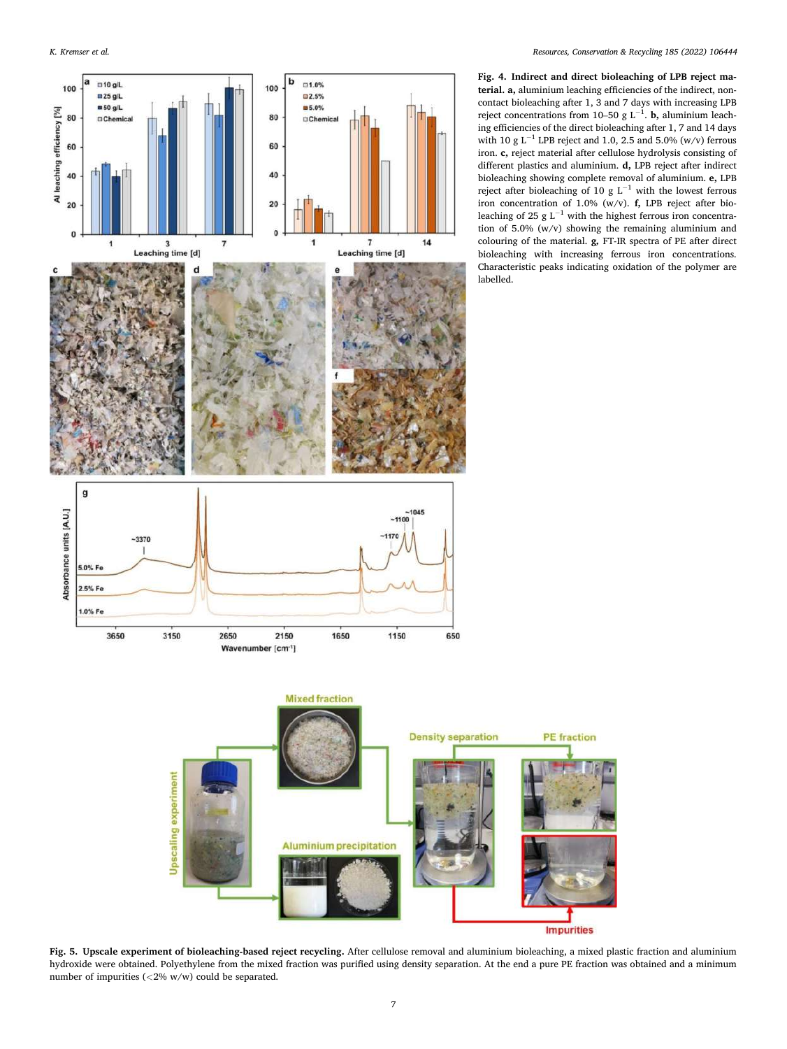<span id="page-6-0"></span>

**Fig. 4. Indirect and direct bioleaching of LPB reject material. a,** aluminium leaching efficiencies of the indirect, noncontact bioleaching after 1, 3 and 7 days with increasing LPB reject concentrations from 10–50 g L<sup>-1</sup>. **b**, aluminium leaching efficiencies of the direct bioleaching after 1, 7 and 14 days with 10 g L<sup>-1</sup> LPB reject and 1.0, 2.5 and 5.0% (w/v) ferrous iron. **c,** reject material after cellulose hydrolysis consisting of different plastics and aluminium. **d,** LPB reject after indirect bioleaching showing complete removal of aluminium. **e,** LPB reject after bioleaching of 10 g L<sup>-1</sup> with the lowest ferrous iron concentration of 1.0% (w/v). **f,** LPB reject after bio-<br>leaching of 25 g L<sup>−1</sup> with the highest ferrous iron concentration of 5.0% (w/v) showing the remaining aluminium and colouring of the material. **g***,* FT-IR spectra of PE after direct bioleaching with increasing ferrous iron concentrations. Characteristic peaks indicating oxidation of the polymer are labelled.



**Fig. 5. Upscale experiment of bioleaching-based reject recycling.** After cellulose removal and aluminium bioleaching, a mixed plastic fraction and aluminium hydroxide were obtained. Polyethylene from the mixed fraction was purified using density separation. At the end a pure PE fraction was obtained and a minimum number of impurities (*<*2% w/w) could be separated.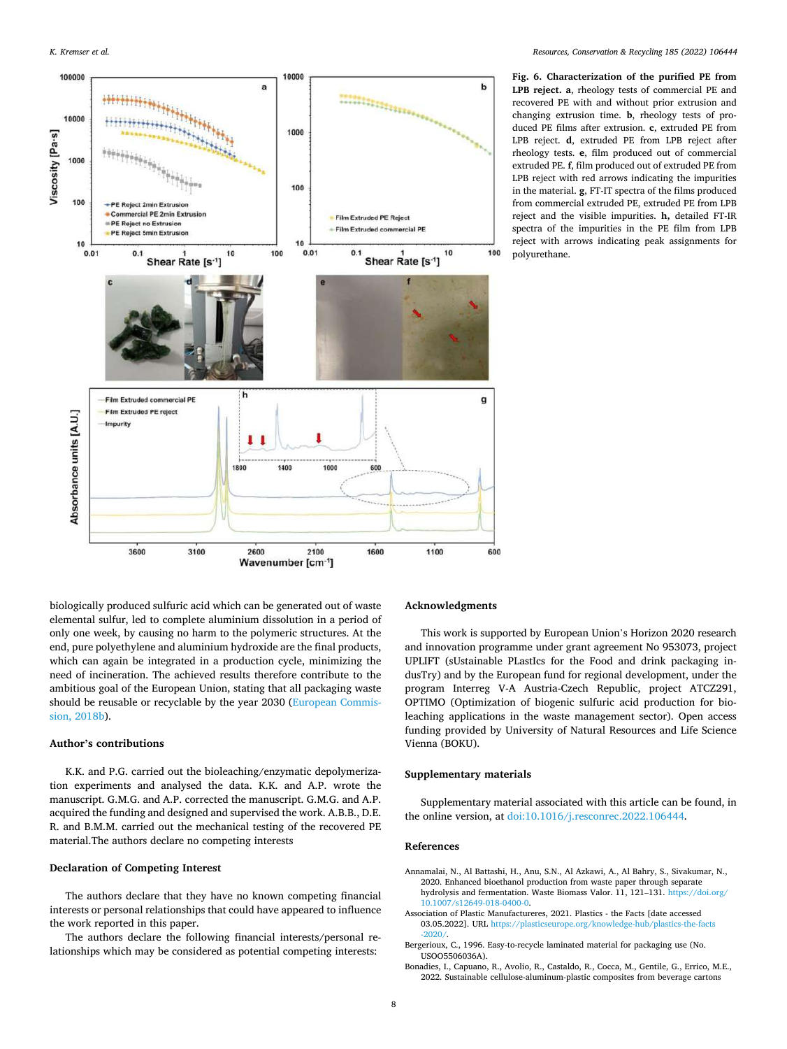<span id="page-7-0"></span>

**Fig. 6. Characterization of the purified PE from LPB reject. a**, rheology tests of commercial PE and recovered PE with and without prior extrusion and changing extrusion time. **b**, rheology tests of produced PE films after extrusion. **c**, extruded PE from LPB reject. **d**, extruded PE from LPB reject after rheology tests. **e**, film produced out of commercial extruded PE. **f**, film produced out of extruded PE from LPB reject with red arrows indicating the impurities in the material. **g**, FT-IT spectra of the films produced from commercial extruded PE, extruded PE from LPB reject and the visible impurities. **h,** detailed FT-IR spectra of the impurities in the PE film from LPB reject with arrows indicating peak assignments for polyurethane.

biologically produced sulfuric acid which can be generated out of waste elemental sulfur, led to complete aluminium dissolution in a period of only one week, by causing no harm to the polymeric structures. At the end, pure polyethylene and aluminium hydroxide are the final products, which can again be integrated in a production cycle, minimizing the need of incineration. The achieved results therefore contribute to the ambitious goal of the European Union, stating that all packaging waste should be reusable or recyclable by the year 2030 [\(European Commis](#page-8-0)[sion, 2018b](#page-8-0)).

## **Author's contributions**

K.K. and P.G. carried out the bioleaching/enzymatic depolymerization experiments and analysed the data. K.K. and A.P. wrote the manuscript. G.M.G. and A.P. corrected the manuscript. G.M.G. and A.P. acquired the funding and designed and supervised the work. A.B.B., D.E. R. and B.M.M. carried out the mechanical testing of the recovered PE material.The authors declare no competing interests

#### **Declaration of Competing Interest**

The authors declare that they have no known competing financial interests or personal relationships that could have appeared to influence the work reported in this paper.

The authors declare the following financial interests/personal relationships which may be considered as potential competing interests:

## **Acknowledgments**

This work is supported by European Union's Horizon 2020 research and innovation programme under grant agreement No 953073, project UPLIFT (sUstainable PLastIcs for the Food and drink packaging indusTry) and by the European fund for regional development, under the program Interreg V-A Austria-Czech Republic, project ATCZ291, OPTIMO (Optimization of biogenic sulfuric acid production for bioleaching applications in the waste management sector). Open access funding provided by University of Natural Resources and Life Science Vienna (BOKU).

#### **Supplementary materials**

Supplementary material associated with this article can be found, in the online version, at [doi:10.1016/j.resconrec.2022.106444](https://doi.org/10.1016/j.resconrec.2022.106444).

## **References**

- Annamalai, N., Al Battashi, H., Anu, S.N., Al Azkawi, A., Al Bahry, S., Sivakumar, N., 2020. Enhanced bioethanol production from waste paper through separate hydrolysis and fermentation. Waste Biomass Valor. 11, 121–131. [https://doi.org/](https://doi.org/10.1007/s12649-018-0400-0) [10.1007/s12649-018-0400-0](https://doi.org/10.1007/s12649-018-0400-0).
- Association of Plastic Manufactureres, 2021. Plastics the Facts [date accessed 03.05.2022]. URL [https://plasticseurope.org/knowledge-hub/plastics-the-facts](https://plasticseurope.org/knowledge-hub/plastics-the-facts-2020/)  [-2020/](https://plasticseurope.org/knowledge-hub/plastics-the-facts-2020/).
- Bergerioux, C., 1996. Easy-to-recycle laminated material for packaging use (No. USOO5506036A).
- Bonadies, I., Capuano, R., Avolio, R., Castaldo, R., Cocca, M., Gentile, G., Errico, M.E., 2022. Sustainable cellulose-aluminum-plastic composites from beverage cartons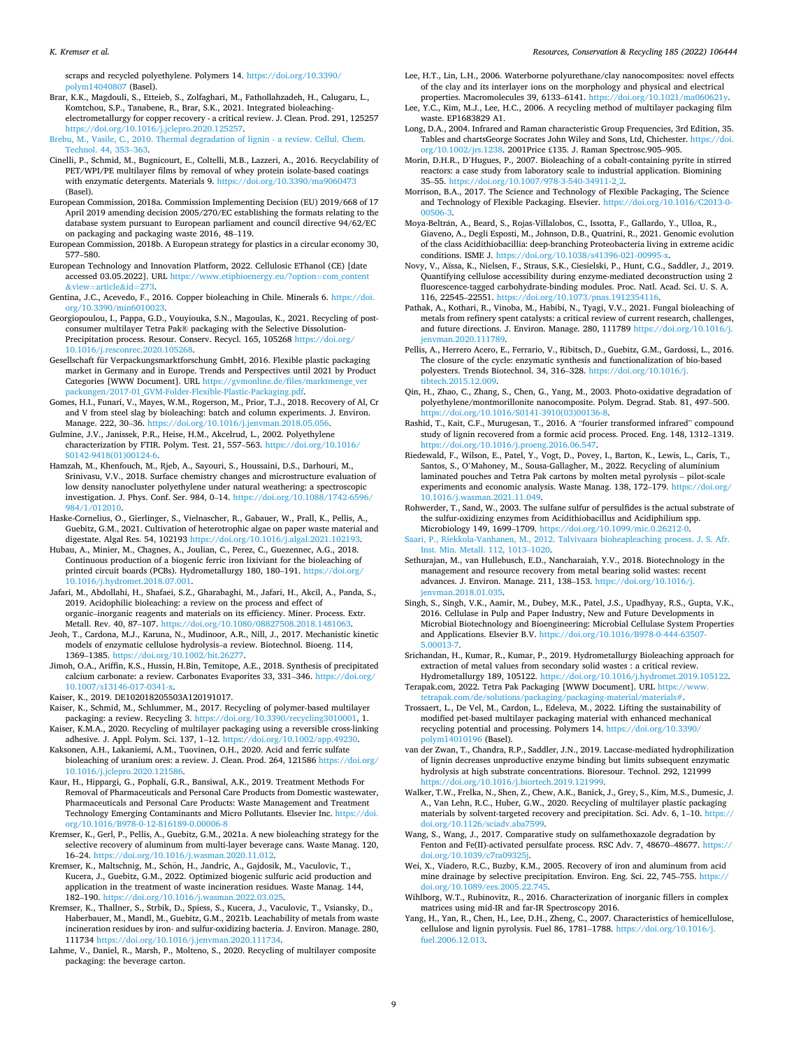#### <span id="page-8-0"></span>*K. Kremser et al.*

scraps and recycled polyethylene. Polymers 14. [https://doi.org/10.3390/](https://doi.org/10.3390/polym14040807)  [polym14040807](https://doi.org/10.3390/polym14040807) (Basel).

Brar, K.K., Magdouli, S., Etteieb, S., Zolfaghari, M., Fathollahzadeh, H., Calugaru, L., Komtchou, S.P., Tanabene, R., Brar, S.K., 2021. Integrated bioleachingelectrometallurgy for copper recovery - a critical review. J. Clean. Prod. 291, 125257 [https://doi.org/10.1016/j.jclepro.2020.125257.](https://doi.org/10.1016/j.jclepro.2020.125257)

[Brebu, M., Vasile, C., 2010. Thermal degradation of lignin - a review. Cellul. Chem.](http://refhub.elsevier.com/S0921-3449(22)00287-7/sbref0006)  [Technol. 44, 353](http://refhub.elsevier.com/S0921-3449(22)00287-7/sbref0006)–363.

- Cinelli, P., Schmid, M., Bugnicourt, E., Coltelli, M.B., Lazzeri, A., 2016. Recyclability of PET/WPI/PE multilayer films by removal of whey protein isolate-based coatings with enzymatic detergents. Materials 9. https://doi.org/10.3390/ma90604 (Basel).
- European Commission, 2018a. Commission Implementing Decision (EU) 2019/668 of 17 April 2019 amending decision 2005/270/EC establishing the formats relating to the database system pursuant to European parliament and council directive 94/62/EC on packaging and packaging waste 2016, 48–119.
- European Commission, 2018b. A European strategy for plastics in a circular economy 30, 577–580.
- European Technology and Innovation Platform, 2022. Cellulosic EThanol (CE) [date accessed 03.05.2022]. URL [https://www.etipbioenergy.eu/?option](https://www.etipbioenergy.eu/?option=com_content&tnqh_x0026;view=article&tnqh_x0026;id=273)=com\_content  $=$ [article](https://www.etipbioenergy.eu/?option=com_content&tnqh_x0026;view=article&tnqh_x0026;id=273) $\&$ id $=$ 2
- Gentina, J.C., Acevedo, F., 2016. Copper bioleaching in Chile. Minerals 6. [https://doi.](https://doi.org/10.3390/min6010023)  [org/10.3390/min6010023.](https://doi.org/10.3390/min6010023)
- Georgiopoulou, I., Pappa, G.D., Vouyiouka, S.N., Magoulas, K., 2021. Recycling of postconsumer multilayer Tetra Pak® packaging with the Selective Dissolution-Precipitation process. Resour. Conserv. Recycl. 165, 105268 [https://doi.org/](https://doi.org/10.1016/j.resconrec.2020.105268) [10.1016/j.resconrec.2020.105268.](https://doi.org/10.1016/j.resconrec.2020.105268)
- Gesellschaft für Verpackungsmarktforschung GmbH, 2016. Flexible plastic packaging market in Germany and in Europe. Trends and Perspectives until 2021 by Product Categories [WWW Document]. URL [https://gvmonline.de/files/marktmenge\\_ver](https://gvmonline.de/files/marktmenge_verpackungen/2017-01_GVM-Folder-Flexible-Plastic-Packaging.pdf) [packungen/2017-01\\_GVM-Folder-Flexible-Plastic-Packaging.pdf.](https://gvmonline.de/files/marktmenge_verpackungen/2017-01_GVM-Folder-Flexible-Plastic-Packaging.pdf)
- Gomes, H.I., Funari, V., Mayes, W.M., Rogerson, M., Prior, T.J., 2018. Recovery of Al, Cr and V from steel slag by bioleaching: batch and column experiments. J. Environ. Manage. 222, 30–36. <https://doi.org/10.1016/j.jenvman.2018.05.056>.
- Gulmine, J.V., Janissek, P.R., Heise, H.M., Akcelrud, L., 2002. Polyethylene characterization by FTIR. Polym. Test. 21, 557–563. [https://doi.org/10.1016/](https://doi.org/10.1016/S0142-9418(01)00124-6)  [S0142-9418\(01\)00124-6](https://doi.org/10.1016/S0142-9418(01)00124-6).
- Hamzah, M., Khenfouch, M., Rjeb, A., Sayouri, S., Houssaini, D.S., Darhouri, M., Srinivasu, V.V., 2018. Surface chemistry changes and microstructure evaluation of low density nanocluster polyethylene under natural weathering: a spectroscopic investigation. J. Phys. Conf. Ser. 984, 0–14. [https://doi.org/10.1088/1742-6596/](https://doi.org/10.1088/1742-6596/984/1/012010) [984/1/012010.](https://doi.org/10.1088/1742-6596/984/1/012010)
- Haske-Cornelius, O., Gierlinger, S., Vielnascher, R., Gabauer, W., Prall, K., Pellis, A., Guebitz, G.M., 2021. Cultivation of heterotrophic algae on paper waste material and digestate. Algal Res. 54, 102193 [https://doi.org/10.1016/j.algal.2021.102193.](https://doi.org/10.1016/j.algal.2021.102193)
- Hubau, A., Minier, M., Chagnes, A., Joulian, C., Perez, C., Guezennec, A.G., 2018. Continuous production of a biogenic ferric iron lixiviant for the bioleaching of printed circuit boards (PCBs). Hydrometallurgy 180, 180–191. [https://doi.org/](https://doi.org/10.1016/j.hydromet.2018.07.001) [10.1016/j.hydromet.2018.07.001.](https://doi.org/10.1016/j.hydromet.2018.07.001)
- Jafari, M., Abdollahi, H., Shafaei, S.Z., Gharabaghi, M., Jafari, H., Akcil, A., Panda, S., 2019. Acidophilic bioleaching: a review on the process and effect of organic–inorganic reagents and materials on its efficiency. Miner. Process. Extr. Metall. Rev. 40, 87–107. [https://doi.org/10.1080/08827508.2018.1481063.](https://doi.org/10.1080/08827508.2018.1481063)
- Jeoh, T., Cardona, M.J., Karuna, N., Mudinoor, A.R., Nill, J., 2017. Mechanistic kinetic models of enzymatic cellulose hydrolysis–a review. Biotechnol. Bioeng. 114, 1369–1385. [https://doi.org/10.1002/bit.26277.](https://doi.org/10.1002/bit.26277)
- Jimoh, O.A., Ariffin, K.S., Hussin, H.Bin, Temitope, A.E., 2018. Synthesis of precipitated calcium carbonate: a review. Carbonates Evaporites 33, 331–346. [https://doi.org/](https://doi.org/10.1007/s13146-017-0341-x) [10.1007/s13146-017-0341-x.](https://doi.org/10.1007/s13146-017-0341-x)
- Kaiser, K., 2019. DE102018205503A120191017.
- Kaiser, K., Schmid, M., Schlummer, M., 2017. Recycling of polymer-based multilayer packaging: a review. Recycling 3.<https://doi.org/10.3390/recycling3010001>, 1.
- Kaiser, K.M.A., 2020. Recycling of multilayer packaging using a reversible cross-linking adhesive. J. Appl. Polym. Sci. 137, 1–12. [https://doi.org/10.1002/app.49230.](https://doi.org/10.1002/app.49230)
- Kaksonen, A.H., Lakaniemi, A.M., Tuovinen, O.H., 2020. Acid and ferric sulfate bioleaching of uranium ores: a review. J. Clean. Prod. 264, 121586 [https://doi.org/](https://doi.org/10.1016/j.jclepro.2020.121586)  [10.1016/j.jclepro.2020.121586.](https://doi.org/10.1016/j.jclepro.2020.121586)
- Kaur, H., Hippargi, G., Pophali, G.R., Bansiwal, A.K., 2019. Treatment Methods For Removal of Pharmaceuticals and Personal Care Products from Domestic wastewater, Pharmaceuticals and Personal Care Products: Waste Management and Treatment Technology Emerging Contaminants and Micro Pollutants. Elsevier Inc. [https://doi.](https://doi.org/10.1016/B978-0-12-816189-0.00006-8)  [org/10.1016/B978-0-12-816189-0.00006-8](https://doi.org/10.1016/B978-0-12-816189-0.00006-8)
- Kremser, K., Gerl, P., Pellis, A., Guebitz, G.M., 2021a. A new bioleaching strategy for the selective recovery of aluminum from multi-layer beverage cans. Waste Manag. 120, 16–24. <https://doi.org/10.1016/j.wasman.2020.11.012>.
- Kremser, K., Maltschnig, M., Schön, H., Jandric, A., Gajdosik, M., Vaculovic, T., Kucera, J., Guebitz, G.M., 2022. Optimized biogenic sulfuric acid production and application in the treatment of waste incineration residues. Waste Manag. 144, 182–190. <https://doi.org/10.1016/j.wasman.2022.03.025>.
- Kremser, K., Thallner, S., Strbik, D., Spiess, S., Kucera, J., Vaculovic, T., Vsiansky, D., Haberbauer, M., Mandl, M., Guebitz, G.M., 2021b. Leachability of metals from waste incineration residues by iron- and sulfur-oxidizing bacteria. J. Environ. Manage. 280, 111734 <https://doi.org/10.1016/j.jenvman.2020.111734>.
- Lahme, V., Daniel, R., Marsh, P., Molteno, S., 2020. Recycling of multilayer composite packaging: the beverage carton.
- Lee, H.T., Lin, L.H., 2006. Waterborne polyurethane/clay nanocomposites: novel effects of the clay and its interlayer ions on the morphology and physical and electrical properties. Macromolecules 39, 6133–6141. <https://doi.org/10.1021/ma060621y>.
- Lee, Y.C., Kim, M.J., Lee, H.C., 2006. A recycling method of multilayer packaging film waste. EP1683829 A1.
- Long, D.A., 2004. Infrared and Raman characteristic Group Frequencies, 3rd Edition, 35. Tables and chartsGeorge Socrates John Wiley and Sons, Ltd, Chichester. [https://doi.](https://doi.org/10.1002/jrs.1238)  [org/10.1002/jrs.1238](https://doi.org/10.1002/jrs.1238). 2001Price £135. J. Raman Spectrosc.905–905.
- Morin, D.H.R., D'Hugues, P., 2007. Bioleaching of a cobalt-containing pyrite in stirred reactors: a case study from laboratory scale to industrial application. Biomining 35–55. [https://doi.org/10.1007/978-3-540-34911-2\\_2](https://doi.org/10.1007/978-3-540-34911-2_2).
- Morrison, B.A., 2017. The Science and Technology of Flexible Packaging, The Science and Technology of Flexible Packaging. Elsevier. [https://doi.org/10.1016/C2013-0-](https://doi.org/10.1016/C2013-0-00506-3)  [00506-3](https://doi.org/10.1016/C2013-0-00506-3).
- Moya-Beltrán, A., Beard, S., Rojas-Villalobos, C., Issotta, F., Gallardo, Y., Ulloa, R., Giaveno, A., Degli Esposti, M., Johnson, D.B., Quatrini, R., 2021. Genomic evolution of the class Acidithiobacillia: deep-branching Proteobacteria living in extreme acidic conditions. ISME J. <https://doi.org/10.1038/s41396-021-00995-x>.
- Novy, V., Aïssa, K., Nielsen, F., Straus, S.K., Ciesielski, P., Hunt, C.G., Saddler, J., 2019. Quantifying cellulose accessibility during enzyme-mediated deconstruction using 2 fluorescence-tagged carbohydrate-binding modules. Proc. Natl. Acad. Sci. U. S. A. 116, 22545–22551. [https://doi.org/10.1073/pnas.1912354116.](https://doi.org/10.1073/pnas.1912354116)
- Pathak, A., Kothari, R., Vinoba, M., Habibi, N., Tyagi, V.V., 2021. Fungal bioleaching of metals from refinery spent catalysts: a critical review of current research, challenges, and future directions. J. Environ. Manage. 280, 111789 [https://doi.org/10.1016/j.](https://doi.org/10.1016/j.jenvman.2020.111789) [jenvman.2020.111789](https://doi.org/10.1016/j.jenvman.2020.111789).
- Pellis, A., Herrero Acero, E., Ferrario, V., Ribitsch, D., Guebitz, G.M., Gardossi, L., 2016. The closure of the cycle: enzymatic synthesis and functionalization of bio-based polyesters. Trends Biotechnol. 34, 316–328. [https://doi.org/10.1016/j.](https://doi.org/10.1016/j.tibtech.2015.12.009) [tibtech.2015.12.009.](https://doi.org/10.1016/j.tibtech.2015.12.009)
- Qin, H., Zhao, C., Zhang, S., Chen, G., Yang, M., 2003. Photo-oxidative degradation of polyethylene/montmorillonite nanocomposite. Polym. Degrad. Stab. 81, 497–500. [https://doi.org/10.1016/S0141-3910\(03\)00136-8.](https://doi.org/10.1016/S0141-3910(03)00136-8)
- Rashid, T., Kait, C.F., Murugesan, T., 2016. A "fourier transformed infrared" compound study of lignin recovered from a formic acid process. Proced. Eng. 148, 1312–1319. <https://doi.org/10.1016/j.proeng.2016.06.547>.
- Riedewald, F., Wilson, E., Patel, Y., Vogt, D., Povey, I., Barton, K., Lewis, L., Caris, T., Santos, S., O'Mahoney, M., Sousa-Gallagher, M., 2022. Recycling of aluminium laminated pouches and Tetra Pak cartons by molten metal pyrolysis – pilot-scale experiments and economic analysis. Waste Manag. 138, 172-179. https://doi.org/ [10.1016/j.wasman.2021.11.049](https://doi.org/10.1016/j.wasman.2021.11.049).
- Rohwerder, T., Sand, W., 2003. The sulfane sulfur of persulfides is the actual substrate of the sulfur-oxidizing enzymes from Acidithiobacillus and Acidiphilium spp. Microbiology 149, 1699–1709. [https://doi.org/10.1099/mic.0.26212-0.](https://doi.org/10.1099/mic.0.26212-0)
- [Saari, P., Riekkola-Vanhanen, M., 2012. Talvivaara bioheapleaching process. J. S. Afr.](http://refhub.elsevier.com/S0921-3449(22)00287-7/sbref0044)  [Inst. Min. Metall. 112, 1013](http://refhub.elsevier.com/S0921-3449(22)00287-7/sbref0044)–1020.
- Sethurajan, M., van Hullebusch, E.D., Nancharaiah, Y.V., 2018. Biotechnology in the management and resource recovery from metal bearing solid wastes: recent advances. J. Environ. Manage. 211, 138–153. [https://doi.org/10.1016/j.](https://doi.org/10.1016/j.jenvman.2018.01.035) [jenvman.2018.01.035](https://doi.org/10.1016/j.jenvman.2018.01.035).
- Singh, S., Singh, V.K., Aamir, M., Dubey, M.K., Patel, J.S., Upadhyay, R.S., Gupta, V.K., 2016. Cellulase in Pulp and Paper Industry, New and Future Developments in Microbial Biotechnology and Bioengineering: Microbial Cellulase System Properties and Applications. Elsevier B.V. [https://doi.org/10.1016/B978-0-444-63507-](https://doi.org/10.1016/B978-0-444-63507-5.00013-7) [5.00013-7.](https://doi.org/10.1016/B978-0-444-63507-5.00013-7)
- Srichandan, H., Kumar, R., Kumar, P., 2019. Hydrometallurgy Bioleaching approach for extraction of metal values from secondary solid wastes : a critical review. Hydrometallurgy 189, 105122. <https://doi.org/10.1016/j.hydromet.2019.105122>.
- Terapak.com, 2022. Tetra Pak Packaging [WWW Document]. URL [https://www.](https://www.tetrapak.com/de/solutions/packaging/packaging-material/materials#)  [tetrapak.com/de/solutions/packaging/packaging-material/materials#.](https://www.tetrapak.com/de/solutions/packaging/packaging-material/materials#)
- Trossaert, L., De Vel, M., Cardon, L., Edeleva, M., 2022. Lifting the sustainability of modified pet-based multilayer packaging material with enhanced mechanical recycling potential and processing. Polymers 14. [https://doi.org/10.3390/](https://doi.org/10.3390/polym14010196)  [polym14010196](https://doi.org/10.3390/polym14010196) (Basel).
- van der Zwan, T., Chandra, R.P., Saddler, J.N., 2019. Laccase-mediated hydrophilization of lignin decreases unproductive enzyme binding but limits subsequent enzymatic hydrolysis at high substrate concentrations. Bioresour. Technol. 292, 121999 doi.org/10.1016/j.biortech.2019.121999.
- Walker, T.W., Frelka, N., Shen, Z., Chew, A.K., Banick, J., Grey, S., Kim, M.S., Dumesic, J. A., Van Lehn, R.C., Huber, G.W., 2020. Recycling of multilayer plastic packaging materials by solvent-targeted recovery and precipitation. Sci. Adv. 6, 1–10. [https://](https://doi.org/10.1126/sciadv.aba7599)  [doi.org/10.1126/sciadv.aba7599](https://doi.org/10.1126/sciadv.aba7599).
- Wang, S., Wang, J., 2017. Comparative study on sulfamethoxazole degradation by Fenton and Fe(II)-activated persulfate process. RSC Adv. 7, 48670–48677. [https://](https://doi.org/10.1039/c7ra09325j) [doi.org/10.1039/c7ra09325j](https://doi.org/10.1039/c7ra09325j).
- Wei, X., Viadero, R.C., Buzby, K.M., 2005. Recovery of iron and aluminum from acid mine drainage by selective precipitation. Environ. Eng. Sci. 22, 745–755. [https://](https://doi.org/10.1089/ees.2005.22.745)  doi.org/10.1089/ees.2005.
- Wihlborg, W.T., Rubinovitz, R., 2016. Characterization of inorganic fillers in complex matrices using mid-IR and far-IR Spectroscopy 2016.
- Yang, H., Yan, R., Chen, H., Lee, D.H., Zheng, C., 2007. Characteristics of hemicellulose, cellulose and lignin pyrolysis. Fuel 86, 1781–1788. [https://doi.org/10.1016/j.](https://doi.org/10.1016/j.fuel.2006.12.013)  [fuel.2006.12.013.](https://doi.org/10.1016/j.fuel.2006.12.013)